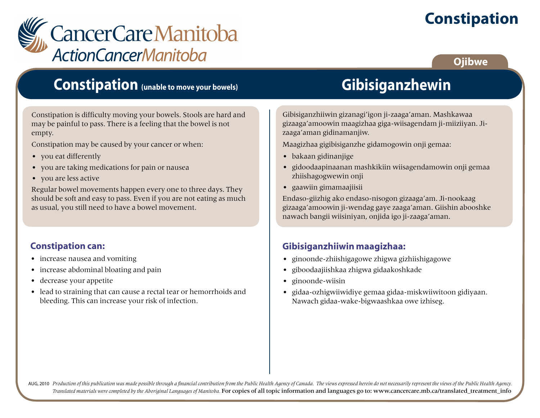# **Constipation**



#### **Ojibwe**

## **Constipation (unable to move your bowels)**

Constipation is difficulty moving your bowels. Stools are hard and may be painful to pass. There is a feeling that the bowel is not empty.

Constipation may be caused by your cancer or when:

- you eat differently
- you are taking medications for pain or nausea
- you are less active

Regular bowel movements happen every one to three days. They should be soft and easy to pass. Even if you are not eating as much as usual, you still need to have a bowel movement.

#### **Constipation can:**

- increase nausea and vomiting
- increase abdominal bloating and pain
- decrease your appetite
- lead to straining that can cause a rectal tear or hemorrhoids and bleeding. This can increase your risk of infection.

# **Gibisiganzhewin**

Gibisiganzhiiwin gizanagi'igon ji-zaaga'aman. Mashkawaa gizaaga'amoowin maagizhaa giga-wiisagendam ji-miiziiyan. Jizaaga'aman gidinamanjiw.

Maagizhaa gigibisiganzhe gidamogowin onji gemaa:

- bakaan gidinanjige
- gidoodaapinaanan mashkikiin wiisagendamowin onji gemaa zhiishagogwewin onji
- gaawiin gimamaajiisii

Endaso-giizhig ako endaso-nisogon gizaaga'am. Ji-nookaag gizaaga'amoowin ji-wendag gaye zaaga'aman. Giishin abooshke nawach bangii wiisiniyan, onjida igo ji-zaaga'aman.

#### **Gibisiganzhiiwin maagizhaa:**

- ginoonde-zhiishigagowe zhigwa gizhiishigagowe
- giboodaajiishkaa zhigwa gidaakoshkade
- ginoonde-wiisin
- gidaa-ozhigwiiwidiye gemaa gidaa-miskwiiwitoon gidiyaan. Nawach gidaa-wake-bigwaashkaa owe izhiseg.

AUG, 2010 Production of this publication was made possible through a financial contribution from the Public Health Agency of Canada. The views expressed herein do not necessarily represent the views of the Public Health Ag *Translated materials were completed by the Aboriginal Languages of Manitoba.* For copies of all topic information and languages go to: www.cancercare.mb.ca/translated\_treatment\_info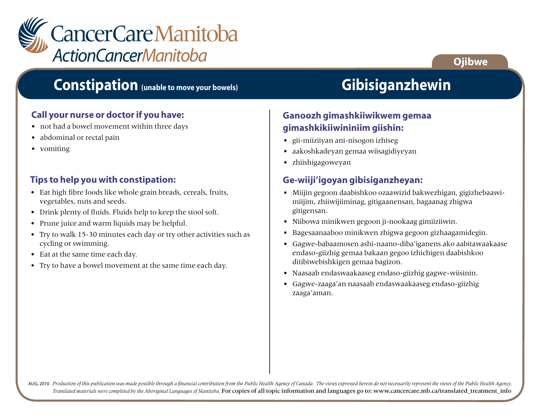

#### **Ojibwe**

## **Constipation (unable to move your bowels)**

#### **Call your nurse or doctor if you have:**

- not had a bowel movement within three days
- abdominal or rectal pain
- vomiting

#### **Tips to help you with constipation:**

- Eat high fibre foods like whole grain breads, cereals, fruits, vegetables, nuts and seeds.
- Drink plenty of fluids. Fluids help to keep the stool soft.
- Prune juice and warm liquids may be helpful.
- Try to walk 15-30 minutes each day or try other activities such as cycling or swimming.
- Eat at the same time each day.
- Try to have a bowel movement at the same time each day.

# **Gibisiganzhewin**

#### **Ganoozh gimashkiiwikwem gemaa gimashkikiiwininiim giishin:**

- gii-miiziiyan ani-nisogon izhiseg
- aakoshkadeyan gemaa wiisagidiyeyan
- zhiishigagoweyan

#### **Ge-wiiji'igoyan gibisiganzheyan:**

- Miijin gegoon daabishkoo ozaawizid bakwezhigan, gigizhebaawimiijim, zhiiwijiiminag, gitigaanensan, bagaanag zhigwa gitigensan.
- Niibowa minikwen gegoon ji-nookaag gimiiziiwin.
- Bagesaanaaboo minikwen zhigwa gegoon gizhaagamidegin.
- Gagwe-babaamosen ashi-naano-diba'iganens ako aabitawaakaase endaso-giizhig gemaa bakaan gegoo izhichigen daabishkoo ditibiwebishkigen gemaa bagizon.
- Naasaab endaswaakaaseg endaso-giizhig gagwe-wiisinin.
- Gagwe-zaaga'an naasaab endaswaakaaseg endaso-giizhig zaaga'aman.

AUG, 2010 Production of this publication was made possible through a financial contribution from the Public Health Agency of Canada. The views expressed herein do not necessarily represent the views of the Public Health Ag *Translated materials were completed by the Aboriginal Languages of Manitoba.* For copies of all topic information and languages go to: www.cancercare.mb.ca/translated\_treatment\_info